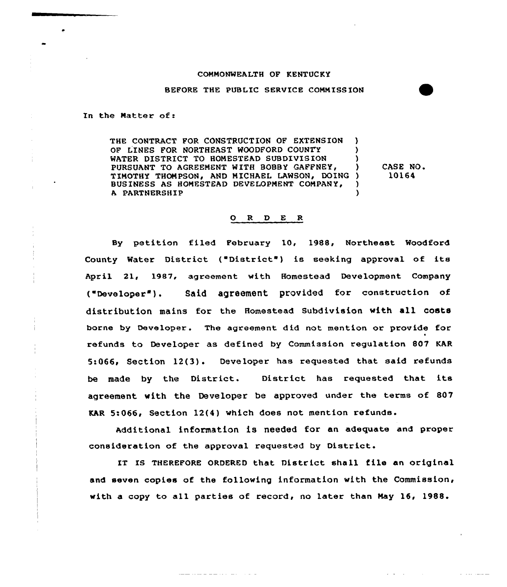## COMMONWEALTH OF KENTUCKY

BEFORE THE PUBLIC SERVICE CONNISS ION

In the Natter of:

THE CONTRACT FOR CONSTRUCTION OF EXTENS ION ) OF LINES FOR NORTHEAST WOODFORD COUNTY (1) WATER DISTRICT TO HOMESTEAD SUBDIVISION (3) PURSUANT TO AGREEMENT WITH BOBBY GAFFNEY, TIMOTHY THOMPSON, AND MICHAEL LAWSON, DOING) BUSINESS AS HONESTEAD DEVELOPMENT COMPANY, ) A PARTNERSHIP ) CASE NO. 10164

## ORDER

Sy petition filed February 10, 1988, Northeast Woodford County Water District ("District") is seeking approval of its Apxil 21, 1987, agxeement with Homestead Development Company ("Developer"). Said agreement provided for construction of distribution mains for the Homestead Subdivision with all costs borne by Developer. The agreement did not mention or provide for refunds to Developex as defined by Commission regulation 807 KAR 5:066, Section 12(3). Developer has requested that said refunds be made by the District. District has requested that its agreement with the Developer be approved under the terms of 807 KAR 5:066< Section 12(4) which does not mention refunds.

Additional information is needed for an adequate and proper consideration of the approval requested by District.

IT Is THEREFORE ORDERED that District shall file an original and seven copies of the following information with the Commission, with a copy to all parties of record, no later than Nay 16, 1988.